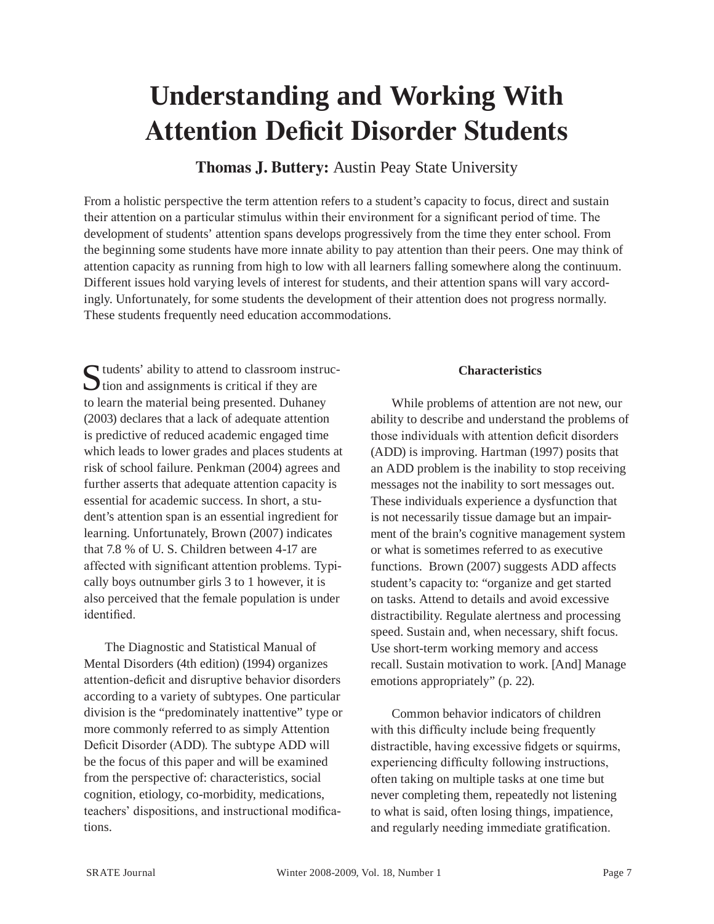# **Understanding and Working With Attention Deficit Disorder Students**

**Thomas J. Buttery:** Austin Peay State University

From a holistic perspective the term attention refers to a student's capacity to focus, direct and sustain their attention on a particular stimulus within their environment for a significant period of time. The development of students' attention spans develops progressively from the time they enter school. From the beginning some students have more innate ability to pay attention than their peers. One may think of attention capacity as running from high to low with all learners falling somewhere along the continuum. Different issues hold varying levels of interest for students, and their attention spans will vary accordingly. Unfortunately, for some students the development of their attention does not progress normally. These students frequently need education accommodations.

Students' ability to attend to classroom instruction and assignments is critical if they are to learn the material being presented. Duhaney (2003) declares that a lack of adequate attention is predictive of reduced academic engaged time which leads to lower grades and places students at risk of school failure. Penkman (2004) agrees and further asserts that adequate attention capacity is essential for academic success. In short, a student's attention span is an essential ingredient for learning. Unfortunately, Brown (2007) indicates that 7.8 % of U. S. Children between 4-17 are affected with significant attention problems. Typically boys outnumber girls 3 to 1 however, it is also perceived that the female population is under identified.

The Diagnostic and Statistical Manual of Mental Disorders (4th edition) (1994) organizes attention-deficit and disruptive behavior disorders according to a variety of subtypes. One particular division is the "predominately inattentive" type or more commonly referred to as simply Attention Deficit Disorder (ADD). The subtype ADD will be the focus of this paper and will be examined from the perspective of: characteristics, social cognition, etiology, co-morbidity, medications, teachers' dispositions, and instructional modifications.

## **Characteristics**

While problems of attention are not new, our ability to describe and understand the problems of those individuals with attention deficit disorders (ADD) is improving. Hartman (1997) posits that an ADD problem is the inability to stop receiving messages not the inability to sort messages out. These individuals experience a dysfunction that is not necessarily tissue damage but an impairment of the brain's cognitive management system or what is sometimes referred to as executive functions. Brown (2007) suggests ADD affects student's capacity to: "organize and get started on tasks. Attend to details and avoid excessive distractibility. Regulate alertness and processing speed. Sustain and, when necessary, shift focus. Use short-term working memory and access recall. Sustain motivation to work. [And] Manage emotions appropriately" (p. 22).

Common behavior indicators of children with this difficulty include being frequently distractible, having excessive fidgets or squirms, experiencing difficulty following instructions, often taking on multiple tasks at one time but never completing them, repeatedly not listening to what is said, often losing things, impatience, and regularly needing immediate gratification.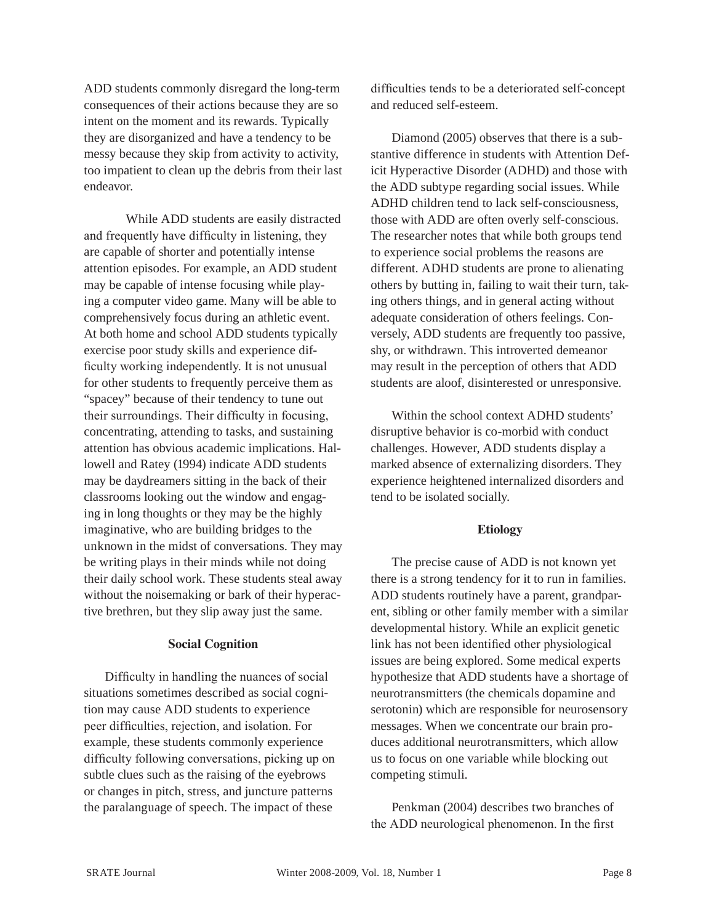ADD students commonly disregard the long-term consequences of their actions because they are so intent on the moment and its rewards. Typically they are disorganized and have a tendency to be messy because they skip from activity to activity, too impatient to clean up the debris from their last endeavor.

While ADD students are easily distracted and frequently have difficulty in listening, they are capable of shorter and potentially intense attention episodes. For example, an ADD student may be capable of intense focusing while playing a computer video game. Many will be able to comprehensively focus during an athletic event. At both home and school ADD students typically exercise poor study skills and experience difficulty working independently. It is not unusual for other students to frequently perceive them as "spacey" because of their tendency to tune out their surroundings. Their difficulty in focusing, concentrating, attending to tasks, and sustaining attention has obvious academic implications. Hallowell and Ratey (1994) indicate ADD students may be daydreamers sitting in the back of their classrooms looking out the window and engaging in long thoughts or they may be the highly imaginative, who are building bridges to the unknown in the midst of conversations. They may be writing plays in their minds while not doing their daily school work. These students steal away without the noisemaking or bark of their hyperactive brethren, but they slip away just the same.

### **Social Cognition**

Difficulty in handling the nuances of social situations sometimes described as social cognition may cause ADD students to experience peer difficulties, rejection, and isolation. For example, these students commonly experience difficulty following conversations, picking up on subtle clues such as the raising of the eyebrows or changes in pitch, stress, and juncture patterns the paralanguage of speech. The impact of these

difficulties tends to be a deteriorated self-concept and reduced self-esteem.

Diamond (2005) observes that there is a substantive difference in students with Attention Deficit Hyperactive Disorder (ADHD) and those with the ADD subtype regarding social issues. While ADHD children tend to lack self-consciousness, those with ADD are often overly self-conscious. The researcher notes that while both groups tend to experience social problems the reasons are different. ADHD students are prone to alienating others by butting in, failing to wait their turn, taking others things, and in general acting without adequate consideration of others feelings. Conversely, ADD students are frequently too passive, shy, or withdrawn. This introverted demeanor may result in the perception of others that ADD students are aloof, disinterested or unresponsive.

Within the school context ADHD students' disruptive behavior is co-morbid with conduct challenges. However, ADD students display a marked absence of externalizing disorders. They experience heightened internalized disorders and tend to be isolated socially.

### **Etiology**

The precise cause of ADD is not known yet there is a strong tendency for it to run in families. ADD students routinely have a parent, grandparent, sibling or other family member with a similar developmental history. While an explicit genetic link has not been identified other physiological issues are being explored. Some medical experts hypothesize that ADD students have a shortage of neurotransmitters (the chemicals dopamine and serotonin) which are responsible for neurosensory messages. When we concentrate our brain produces additional neurotransmitters, which allow us to focus on one variable while blocking out competing stimuli.

Penkman (2004) describes two branches of the ADD neurological phenomenon. In the first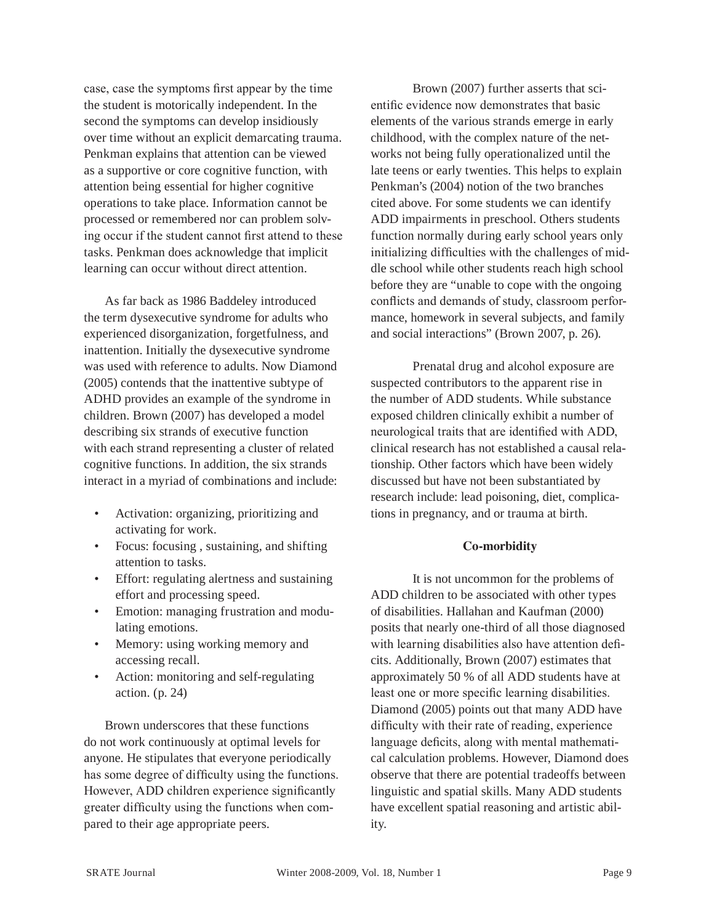case, case the symptoms first appear by the time the student is motorically independent. In the second the symptoms can develop insidiously over time without an explicit demarcating trauma. Penkman explains that attention can be viewed as a supportive or core cognitive function, with attention being essential for higher cognitive operations to take place. Information cannot be processed or remembered nor can problem solving occur if the student cannot first attend to these tasks. Penkman does acknowledge that implicit learning can occur without direct attention.

As far back as 1986 Baddeley introduced the term dysexecutive syndrome for adults who experienced disorganization, forgetfulness, and inattention. Initially the dysexecutive syndrome was used with reference to adults. Now Diamond (2005) contends that the inattentive subtype of ADHD provides an example of the syndrome in children. Brown (2007) has developed a model describing six strands of executive function with each strand representing a cluster of related cognitive functions. In addition, the six strands interact in a myriad of combinations and include:

- Activation: organizing, prioritizing and activating for work.
- Focus: focusing , sustaining, and shifting attention to tasks.
- Effort: regulating alertness and sustaining effort and processing speed.
- Emotion: managing frustration and modulating emotions.
- Memory: using working memory and accessing recall.
- Action: monitoring and self-regulating action. (p. 24)

Brown underscores that these functions do not work continuously at optimal levels for anyone. He stipulates that everyone periodically has some degree of difficulty using the functions. However, ADD children experience significantly greater difficulty using the functions when compared to their age appropriate peers.

Brown (2007) further asserts that scientific evidence now demonstrates that basic elements of the various strands emerge in early childhood, with the complex nature of the networks not being fully operationalized until the late teens or early twenties. This helps to explain Penkman's (2004) notion of the two branches cited above. For some students we can identify ADD impairments in preschool. Others students function normally during early school years only initializing difficulties with the challenges of middle school while other students reach high school before they are "unable to cope with the ongoing conflicts and demands of study, classroom performance, homework in several subjects, and family and social interactions" (Brown 2007, p. 26).

Prenatal drug and alcohol exposure are suspected contributors to the apparent rise in the number of ADD students. While substance exposed children clinically exhibit a number of neurological traits that are identified with ADD, clinical research has not established a causal relationship. Other factors which have been widely discussed but have not been substantiated by research include: lead poisoning, diet, complications in pregnancy, and or trauma at birth.

# **Co-morbidity**

It is not uncommon for the problems of ADD children to be associated with other types of disabilities. Hallahan and Kaufman (2000) posits that nearly one-third of all those diagnosed with learning disabilities also have attention deficits. Additionally, Brown (2007) estimates that approximately 50 % of all ADD students have at least one or more specific learning disabilities. Diamond (2005) points out that many ADD have difficulty with their rate of reading, experience language deficits, along with mental mathematical calculation problems. However, Diamond does observe that there are potential tradeoffs between linguistic and spatial skills. Many ADD students have excellent spatial reasoning and artistic ability.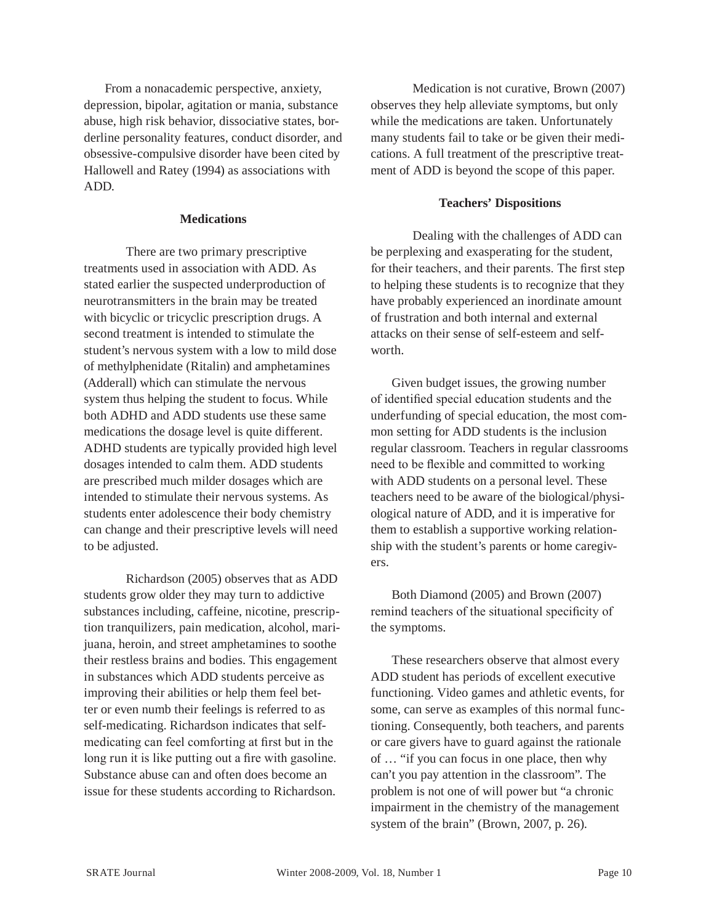From a nonacademic perspective, anxiety, depression, bipolar, agitation or mania, substance abuse, high risk behavior, dissociative states, borderline personality features, conduct disorder, and obsessive-compulsive disorder have been cited by Hallowell and Ratey (1994) as associations with ADD.

## **Medications**

There are two primary prescriptive treatments used in association with ADD. As stated earlier the suspected underproduction of neurotransmitters in the brain may be treated with bicyclic or tricyclic prescription drugs. A second treatment is intended to stimulate the student's nervous system with a low to mild dose of methylphenidate (Ritalin) and amphetamines (Adderall) which can stimulate the nervous system thus helping the student to focus. While both ADHD and ADD students use these same medications the dosage level is quite different. ADHD students are typically provided high level dosages intended to calm them. ADD students are prescribed much milder dosages which are intended to stimulate their nervous systems. As students enter adolescence their body chemistry can change and their prescriptive levels will need to be adjusted.

Richardson (2005) observes that as ADD students grow older they may turn to addictive substances including, caffeine, nicotine, prescription tranquilizers, pain medication, alcohol, marijuana, heroin, and street amphetamines to soothe their restless brains and bodies. This engagement in substances which ADD students perceive as improving their abilities or help them feel better or even numb their feelings is referred to as self-medicating. Richardson indicates that selfmedicating can feel comforting at first but in the long run it is like putting out a fire with gasoline. Substance abuse can and often does become an issue for these students according to Richardson.

Medication is not curative, Brown (2007) observes they help alleviate symptoms, but only while the medications are taken. Unfortunately many students fail to take or be given their medications. A full treatment of the prescriptive treatment of ADD is beyond the scope of this paper.

# **Teachers' Dispositions**

Dealing with the challenges of ADD can be perplexing and exasperating for the student, for their teachers, and their parents. The first step to helping these students is to recognize that they have probably experienced an inordinate amount of frustration and both internal and external attacks on their sense of self-esteem and selfworth.

Given budget issues, the growing number of identified special education students and the underfunding of special education, the most common setting for ADD students is the inclusion regular classroom. Teachers in regular classrooms need to be flexible and committed to working with ADD students on a personal level. These teachers need to be aware of the biological/physiological nature of ADD, and it is imperative for them to establish a supportive working relationship with the student's parents or home caregivers.

Both Diamond (2005) and Brown (2007) remind teachers of the situational specificity of the symptoms.

These researchers observe that almost every ADD student has periods of excellent executive functioning. Video games and athletic events, for some, can serve as examples of this normal functioning. Consequently, both teachers, and parents or care givers have to guard against the rationale of … "if you can focus in one place, then why can't you pay attention in the classroom". The problem is not one of will power but "a chronic impairment in the chemistry of the management system of the brain" (Brown, 2007, p. 26).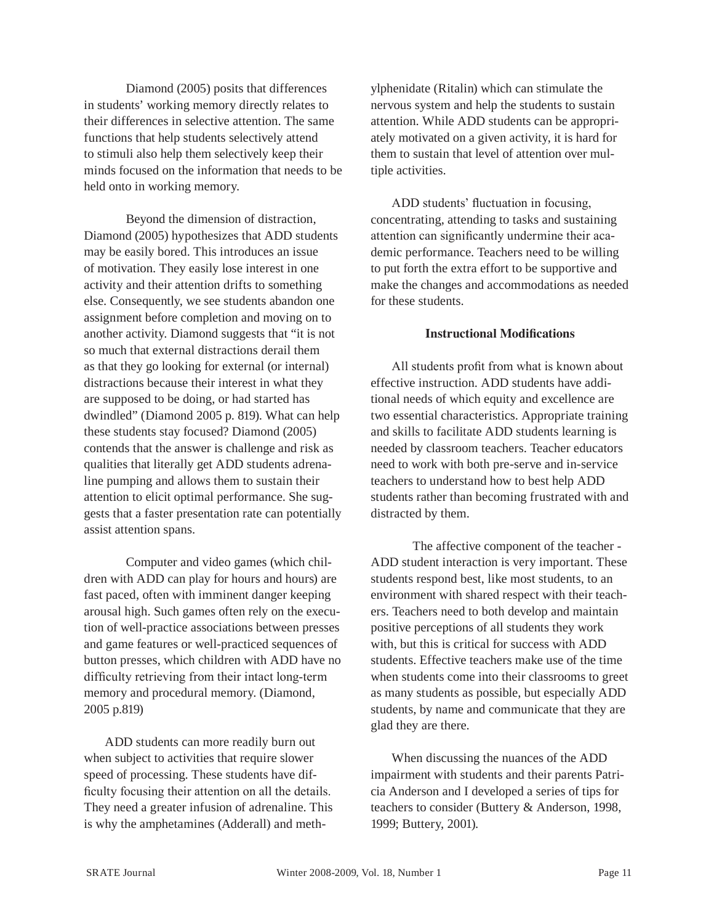Diamond (2005) posits that differences in students' working memory directly relates to their differences in selective attention. The same functions that help students selectively attend to stimuli also help them selectively keep their minds focused on the information that needs to be held onto in working memory.

Beyond the dimension of distraction, Diamond (2005) hypothesizes that ADD students may be easily bored. This introduces an issue of motivation. They easily lose interest in one activity and their attention drifts to something else. Consequently, we see students abandon one assignment before completion and moving on to another activity. Diamond suggests that "it is not so much that external distractions derail them as that they go looking for external (or internal) distractions because their interest in what they are supposed to be doing, or had started has dwindled" (Diamond 2005 p. 819). What can help these students stay focused? Diamond (2005) contends that the answer is challenge and risk as qualities that literally get ADD students adrenaline pumping and allows them to sustain their attention to elicit optimal performance. She suggests that a faster presentation rate can potentially assist attention spans.

Computer and video games (which children with ADD can play for hours and hours) are fast paced, often with imminent danger keeping arousal high. Such games often rely on the execution of well-practice associations between presses and game features or well-practiced sequences of button presses, which children with ADD have no difficulty retrieving from their intact long-term memory and procedural memory. (Diamond, 2005 p.819)

ADD students can more readily burn out when subject to activities that require slower speed of processing. These students have difficulty focusing their attention on all the details. They need a greater infusion of adrenaline. This is why the amphetamines (Adderall) and meth-

ylphenidate (Ritalin) which can stimulate the nervous system and help the students to sustain attention. While ADD students can be appropriately motivated on a given activity, it is hard for them to sustain that level of attention over multiple activities.

ADD students' fluctuation in focusing, concentrating, attending to tasks and sustaining attention can significantly undermine their academic performance. Teachers need to be willing to put forth the extra effort to be supportive and make the changes and accommodations as needed for these students.

## **Instructional Modifications**

All students profit from what is known about effective instruction. ADD students have additional needs of which equity and excellence are two essential characteristics. Appropriate training and skills to facilitate ADD students learning is needed by classroom teachers. Teacher educators need to work with both pre-serve and in-service teachers to understand how to best help ADD students rather than becoming frustrated with and distracted by them.

The affective component of the teacher - ADD student interaction is very important. These students respond best, like most students, to an environment with shared respect with their teachers. Teachers need to both develop and maintain positive perceptions of all students they work with, but this is critical for success with ADD students. Effective teachers make use of the time when students come into their classrooms to greet as many students as possible, but especially ADD students, by name and communicate that they are glad they are there.

When discussing the nuances of the ADD impairment with students and their parents Patricia Anderson and I developed a series of tips for teachers to consider (Buttery & Anderson, 1998, 1999; Buttery, 2001).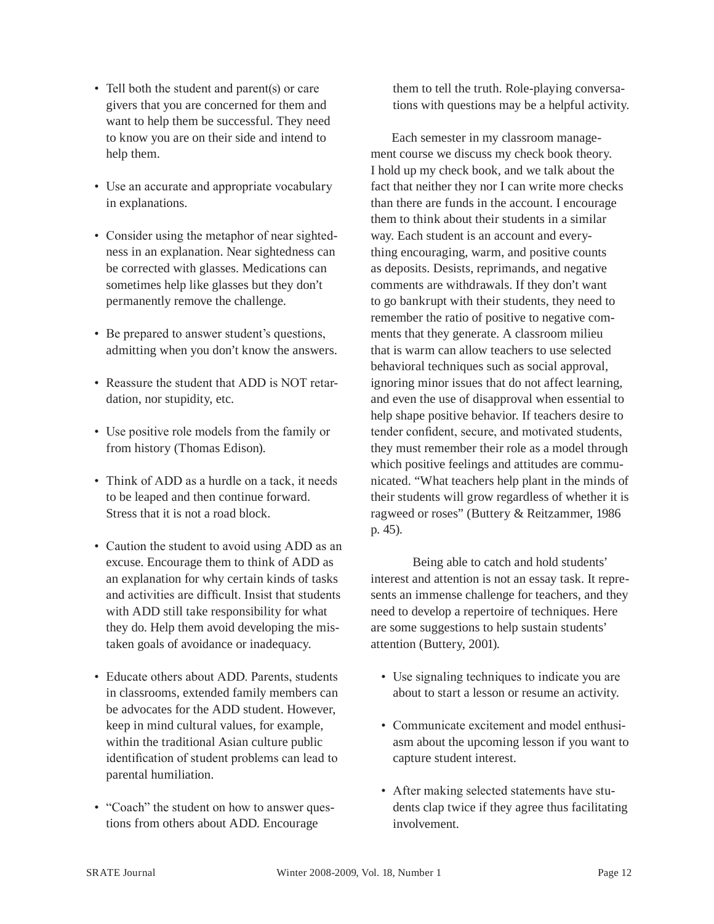- Tell both the student and parent(s) or care givers that you are concerned for them and want to help them be successful. They need to know you are on their side and intend to help them.
- Use an accurate and appropriate vocabulary in explanations.
- Consider using the metaphor of near sightedness in an explanation. Near sightedness can be corrected with glasses. Medications can sometimes help like glasses but they don't permanently remove the challenge.
- Be prepared to answer student's questions, admitting when you don't know the answers.
- Reassure the student that ADD is NOT retardation, nor stupidity, etc.
- Use positive role models from the family or from history (Thomas Edison).
- Think of ADD as a hurdle on a tack, it needs to be leaped and then continue forward. Stress that it is not a road block.
- Caution the student to avoid using ADD as an excuse. Encourage them to think of ADD as an explanation for why certain kinds of tasks and activities are difficult. Insist that students with ADD still take responsibility for what they do. Help them avoid developing the mistaken goals of avoidance or inadequacy.
- Educate others about ADD. Parents, students in classrooms, extended family members can be advocates for the ADD student. However, keep in mind cultural values, for example, within the traditional Asian culture public identification of student problems can lead to parental humiliation.
- "Coach" the student on how to answer questions from others about ADD. Encourage

them to tell the truth. Role-playing conversations with questions may be a helpful activity.

Each semester in my classroom management course we discuss my check book theory. I hold up my check book, and we talk about the fact that neither they nor I can write more checks than there are funds in the account. I encourage them to think about their students in a similar way. Each student is an account and everything encouraging, warm, and positive counts as deposits. Desists, reprimands, and negative comments are withdrawals. If they don't want to go bankrupt with their students, they need to remember the ratio of positive to negative comments that they generate. A classroom milieu that is warm can allow teachers to use selected behavioral techniques such as social approval, ignoring minor issues that do not affect learning, and even the use of disapproval when essential to help shape positive behavior. If teachers desire to tender confident, secure, and motivated students, they must remember their role as a model through which positive feelings and attitudes are communicated. "What teachers help plant in the minds of their students will grow regardless of whether it is ragweed or roses" (Buttery & Reitzammer, 1986 p. 45).

Being able to catch and hold students' interest and attention is not an essay task. It represents an immense challenge for teachers, and they need to develop a repertoire of techniques. Here are some suggestions to help sustain students' attention (Buttery, 2001).

- Use signaling techniques to indicate you are about to start a lesson or resume an activity.
- Communicate excitement and model enthusiasm about the upcoming lesson if you want to capture student interest.
- After making selected statements have students clap twice if they agree thus facilitating involvement.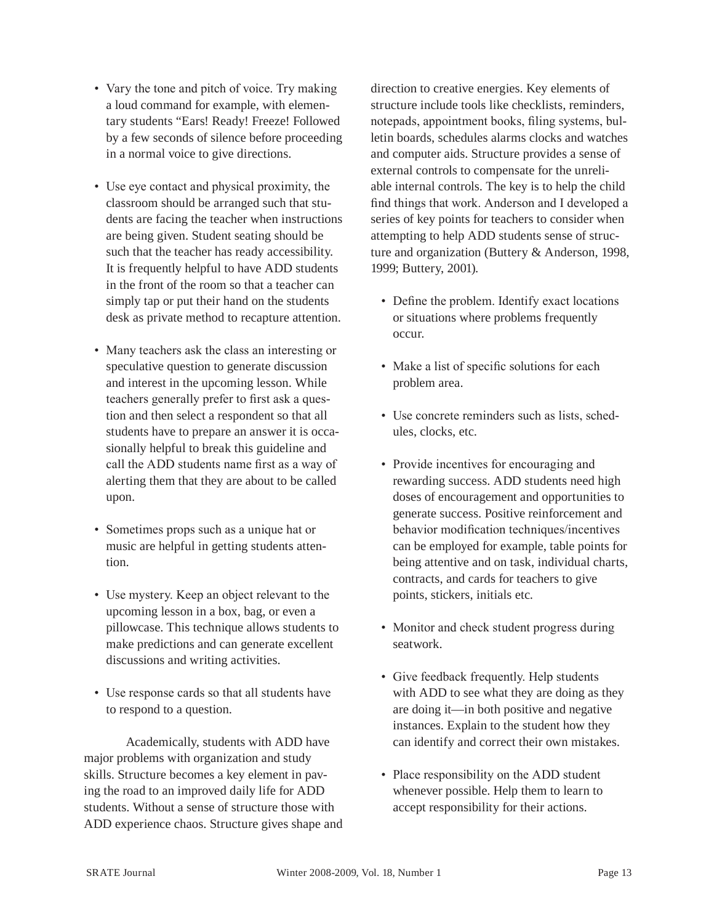- Vary the tone and pitch of voice. Try making a loud command for example, with elementary students "Ears! Ready! Freeze! Followed by a few seconds of silence before proceeding in a normal voice to give directions.
- Use eye contact and physical proximity, the classroom should be arranged such that students are facing the teacher when instructions are being given. Student seating should be such that the teacher has ready accessibility. It is frequently helpful to have ADD students in the front of the room so that a teacher can simply tap or put their hand on the students desk as private method to recapture attention.
- Many teachers ask the class an interesting or speculative question to generate discussion and interest in the upcoming lesson. While teachers generally prefer to first ask a question and then select a respondent so that all students have to prepare an answer it is occasionally helpful to break this guideline and call the ADD students name first as a way of alerting them that they are about to be called upon.
- Sometimes props such as a unique hat or music are helpful in getting students attention.
- Use mystery. Keep an object relevant to the upcoming lesson in a box, bag, or even a pillowcase. This technique allows students to make predictions and can generate excellent discussions and writing activities.
- Use response cards so that all students have to respond to a question.

Academically, students with ADD have major problems with organization and study skills. Structure becomes a key element in paving the road to an improved daily life for ADD students. Without a sense of structure those with ADD experience chaos. Structure gives shape and direction to creative energies. Key elements of structure include tools like checklists, reminders, notepads, appointment books, filing systems, bulletin boards, schedules alarms clocks and watches and computer aids. Structure provides a sense of external controls to compensate for the unreliable internal controls. The key is to help the child find things that work. Anderson and I developed a series of key points for teachers to consider when attempting to help ADD students sense of structure and organization (Buttery & Anderson, 1998, 1999; Buttery, 2001).

- Define the problem. Identify exact locations or situations where problems frequently occur.
- Make a list of specific solutions for each problem area.
- Use concrete reminders such as lists, schedules, clocks, etc.
- Provide incentives for encouraging and rewarding success. ADD students need high doses of encouragement and opportunities to generate success. Positive reinforcement and behavior modification techniques/incentives can be employed for example, table points for being attentive and on task, individual charts, contracts, and cards for teachers to give points, stickers, initials etc.
- Monitor and check student progress during seatwork.
- Give feedback frequently. Help students with ADD to see what they are doing as they are doing it—in both positive and negative instances. Explain to the student how they can identify and correct their own mistakes.
- Place responsibility on the ADD student whenever possible. Help them to learn to accept responsibility for their actions.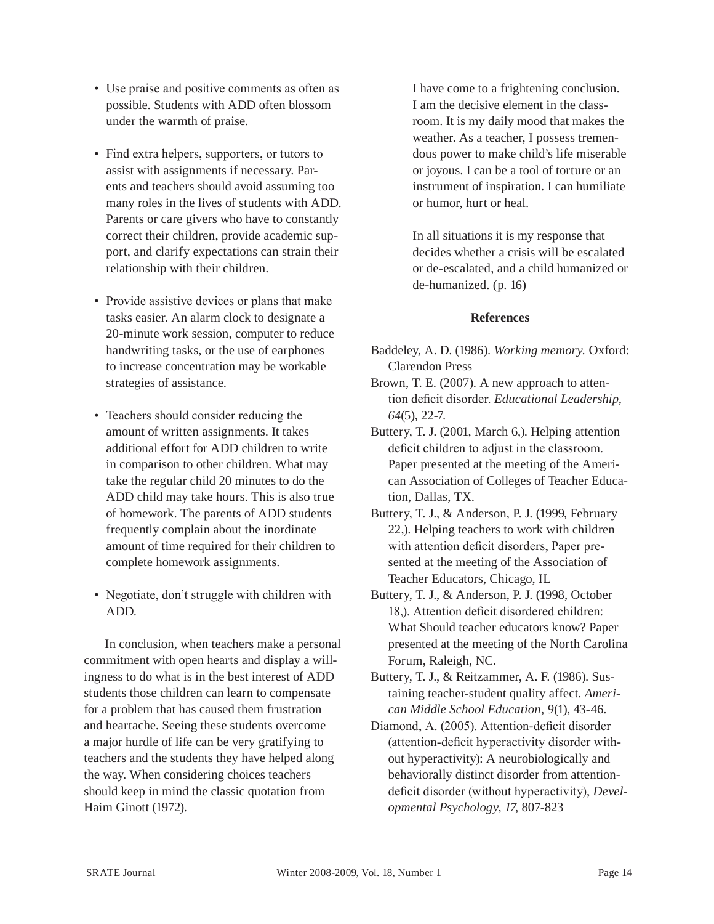- Use praise and positive comments as often as possible. Students with ADD often blossom under the warmth of praise.
- Find extra helpers, supporters, or tutors to assist with assignments if necessary. Parents and teachers should avoid assuming too many roles in the lives of students with ADD. Parents or care givers who have to constantly correct their children, provide academic support, and clarify expectations can strain their relationship with their children.
- Provide assistive devices or plans that make tasks easier. An alarm clock to designate a 20-minute work session, computer to reduce handwriting tasks, or the use of earphones to increase concentration may be workable strategies of assistance.
- Teachers should consider reducing the amount of written assignments. It takes additional effort for ADD children to write in comparison to other children. What may take the regular child 20 minutes to do the ADD child may take hours. This is also true of homework. The parents of ADD students frequently complain about the inordinate amount of time required for their children to complete homework assignments.
- Negotiate, don't struggle with children with ADD.

In conclusion, when teachers make a personal commitment with open hearts and display a willingness to do what is in the best interest of ADD students those children can learn to compensate for a problem that has caused them frustration and heartache. Seeing these students overcome a major hurdle of life can be very gratifying to teachers and the students they have helped along the way. When considering choices teachers should keep in mind the classic quotation from Haim Ginott (1972).

I have come to a frightening conclusion. I am the decisive element in the classroom. It is my daily mood that makes the weather. As a teacher, I possess tremendous power to make child's life miserable or joyous. I can be a tool of torture or an instrument of inspiration. I can humiliate or humor, hurt or heal.

In all situations it is my response that decides whether a crisis will be escalated or de-escalated, and a child humanized or de-humanized. (p. 16)

# **References**

- Baddeley, A. D. (1986). *Working memory.* Oxford: Clarendon Press
- Brown, T. E. (2007). A new approach to attention deficit disorder. *Educational Leadership, 64*(5), 22-7.
- Buttery, T. J. (2001, March 6,). Helping attention deficit children to adjust in the classroom. Paper presented at the meeting of the American Association of Colleges of Teacher Education, Dallas, TX.
- Buttery, T. J., & Anderson, P. J. (1999, February 22,). Helping teachers to work with children with attention deficit disorders, Paper presented at the meeting of the Association of Teacher Educators, Chicago, IL
- Buttery, T. J., & Anderson, P. J. (1998, October 18,). Attention deficit disordered children: What Should teacher educators know? Paper presented at the meeting of the North Carolina Forum, Raleigh, NC.
- Buttery, T. J., & Reitzammer, A. F. (1986). Sustaining teacher-student quality affect. *American Middle School Education, 9*(1), 43-46.
- Diamond, A. (2005). Attention-deficit disorder (attention-deficit hyperactivity disorder without hyperactivity): A neurobiologically and behaviorally distinct disorder from attentiondeficit disorder (without hyperactivity), *Developmental Psychology, 17*, 807-823